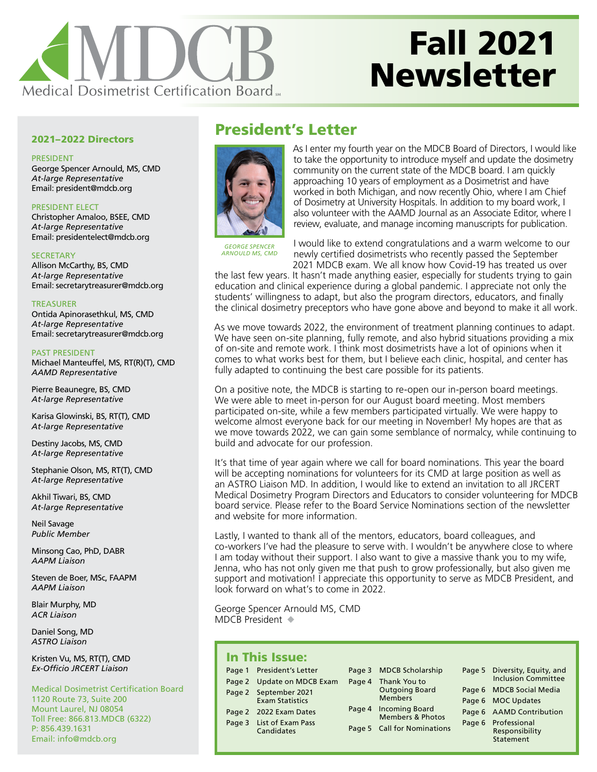

# Fall 2021 Newsletter

#### 2021–2022 Directors

PRESIDENT George Spencer Arnould, MS, CMD *At-large Representative* Email: president@mdcb.org

PRESIDENT ELECT Christopher Amaloo, BSEE, CMD *At-large Representative* Email: presidentelect@mdcb.org

#### **SECRETARY**

Allison McCarthy, BS, CMD *At-large Representative* Email: secretarytreasurer@mdcb.org

TREASURER Ontida Apinorasethkul, MS, CMD *At-large Representative* Email: secretarytreasurer@mdcb.org

#### PAST PRESIDENT

Michael Manteuffel, MS, RT(R)(T), CMD *AAMD Representative*

Pierre Beaunegre, BS, CMD *At-large Representative*

Karisa Glowinski, BS, RT(T), CMD *At-large Representative*

Destiny Jacobs, MS, CMD *At-large Representative*

Stephanie Olson, MS, RT(T), CMD *At-large Representative*

Akhil Tiwari, BS, CMD *At-large Representative*

Neil Savage *Public Member*

Minsong Cao, PhD, DABR *AAPM Liaison*

Steven de Boer, MSc, FAAPM *AAPM Liaison*

Blair Murphy, MD *ACR Liaison*

Daniel Song, MD *ASTRO Liaison*

Kristen Vu, MS, RT(T), CMD *Ex-Officio JRCERT Liaison*

Medical Dosimetrist Certification Board 1120 Route 73, Suite 200 Mount Laurel, NJ 08054 Toll Free: 866.813.MDCB (6322) P: 856.439.1631 Email: [info@mdcb.org](mailto:info%40mdcb.org?subject=)

## <span id="page-0-0"></span>President's Letter



*GEORGE SPENCER ARNOULD MS, CMD*

As I enter my fourth year on the MDCB Board of Directors, I would like to take the opportunity to introduce myself and update the dosimetry community on the current state of the MDCB board. I am quickly approaching 10 years of employment as a Dosimetrist and have worked in both Michigan, and now recently Ohio, where I am Chief of Dosimetry at University Hospitals. In addition to my board work, I also volunteer with the AAMD Journal as an Associate Editor, where I review, evaluate, and manage incoming manuscripts for publication.

I would like to extend congratulations and a warm welcome to our newly certified dosimetrists who recently passed the September 2021 MDCB exam. We all know how Covid-19 has treated us over

the last few years. It hasn't made anything easier, especially for students trying to gain education and clinical experience during a global pandemic. I appreciate not only the students' willingness to adapt, but also the program directors, educators, and finally the clinical dosimetry preceptors who have gone above and beyond to make it all work.

As we move towards 2022, the environment of treatment planning continues to adapt. We have seen on-site planning, fully remote, and also hybrid situations providing a mix of on-site and remote work. I think most dosimetrists have a lot of opinions when it comes to what works best for them, but I believe each clinic, hospital, and center has fully adapted to continuing the best care possible for its patients.

On a positive note, the MDCB is starting to re-open our in-person board meetings. We were able to meet in-person for our August board meeting. Most members participated on-site, while a few members participated virtually. We were happy to welcome almost everyone back for our meeting in November! My hopes are that as we move towards 2022, we can gain some semblance of normalcy, while continuing to build and advocate for our profession.

It's that time of year again where we call for board nominations. This year the board will be accepting nominations for volunteers for its CMD at large position as well as an ASTRO Liaison MD. In addition, I would like to extend an invitation to all JRCERT Medical Dosimetry Program Directors and Educators to consider volunteering for MDCB board service. Please refer to the Board Service Nominations section of the newsletter and website for more information.

Lastly, I wanted to thank all of the mentors, educators, board colleagues, and co-workers I've had the pleasure to serve with. I wouldn't be anywhere close to where I am today without their support. I also want to give a massive thank you to my wife, Jenna, who has not only given me that push to grow professionally, but also given me support and motivation! I appreciate this opportunity to serve as MDCB President, and look forward on what's to come in 2022.

George Spencer Arnould MS, CMD MDCB President ◆

#### In This Issue:

|  | Page 1 President's Letter  |        | Page 3 MDCB Scholarship                              |  | Page 5 Diversity, Equity, and |
|--|----------------------------|--------|------------------------------------------------------|--|-------------------------------|
|  | Page 2 Update on MDCB Exam |        | Page 4 Thank You to                                  |  | <b>Inclusion Committee</b>    |
|  | Page 2 September 2021      |        | <b>Outgoing Board</b><br><b>Members</b>              |  | Page 6 MDCB Social Media      |
|  | <b>Exam Statistics</b>     |        |                                                      |  | Page 6 MOC Updates            |
|  | Page 2 2022 Exam Dates     | Page 4 | <b>Incoming Board</b><br><b>Members &amp; Photos</b> |  | Page 6 AAMD Contribution      |
|  | Page 3 List of Exam Pass   |        | Page 5 Call for Nominations                          |  | Page 6 Professional           |
|  | Candidates                 |        |                                                      |  | Responsibility                |
|  |                            |        |                                                      |  | Statement                     |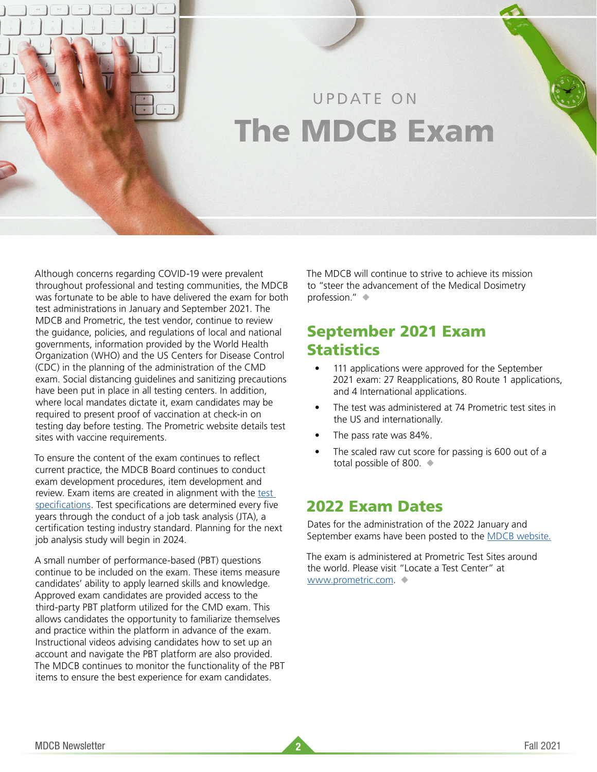# <span id="page-1-0"></span>UPDATE ON The MDCB Exam

Although concerns regarding COVID-19 were prevalent throughout professional and testing communities, the MDCB was fortunate to be able to have delivered the exam for both test administrations in January and September 2021. The MDCB and Prometric, the test vendor, continue to review the guidance, policies, and regulations of local and national governments, information provided by the World Health Organization (WHO) and the US Centers for Disease Control (CDC) in the planning of the administration of the CMD exam. Social distancing guidelines and sanitizing precautions have been put in place in all testing centers. In addition, where local mandates dictate it, exam candidates may be required to present proof of vaccination at check-in on testing day before testing. The Prometric website details test sites with vaccine requirements.

To ensure the content of the exam continues to reflect current practice, the MDCB Board continues to conduct exam development procedures, item development and review. Exam items are created in alignment with the test [specifications](https://www.mdcb.org/sites/mdcb/files/documents/2019/2018%20MDCB%20Test%20Specifications%20Matrix.pdf). Test specifications are determined every five years through the conduct of a job task analysis (JTA), a certification testing industry standard. Planning for the next job analysis study will begin in 2024.

A small number of performance-based (PBT) questions continue to be included on the exam. These items measure candidates' ability to apply learned skills and knowledge. Approved exam candidates are provided access to the third-party PBT platform utilized for the CMD exam. This allows candidates the opportunity to familiarize themselves and practice within the platform in advance of the exam. Instructional videos advising candidates how to set up an account and navigate the PBT platform are also provided. The MDCB continues to monitor the functionality of the PBT items to ensure the best experience for exam candidates.

The MDCB will continue to strive to achieve its mission to "steer the advancement of the Medical Dosimetry profession."

## September 2021 Exam **Statistics**

- 111 applications were approved for the September 2021 exam: 27 Reapplications, 80 Route 1 applications, and 4 International applications.
- The test was administered at 74 Prometric test sites in the US and internationally.
- The pass rate was 84%.
- The scaled raw cut score for passing is 600 out of a total possible of 800.

## 2022 Exam Dates

Dates for the administration of the 2022 January and September exams have been posted to the [MDCB website.](https://mdcb.org/certification-exam-information/exam-dates-and-fees)

The exam is administered at Prometric Test Sites around the world. Please visit "Locate a Test Center" at [www.prometric.com.](http://www.prometric.com) ◆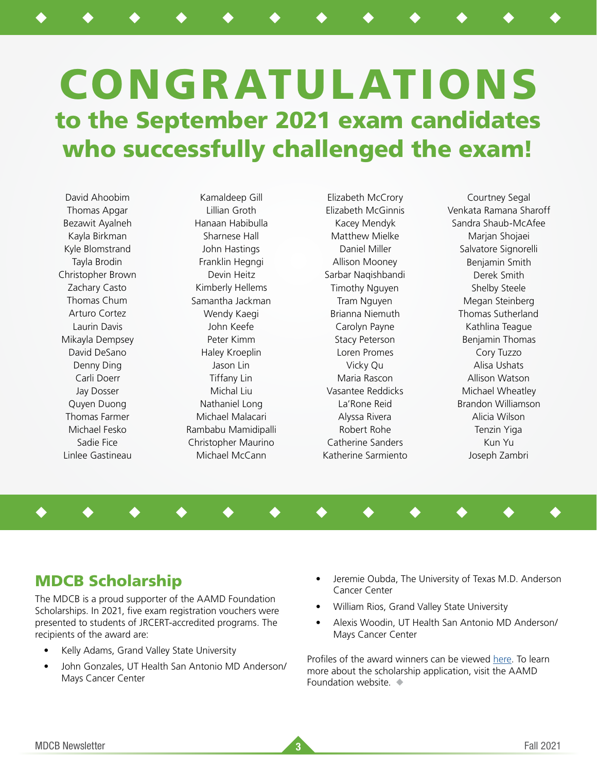# <span id="page-2-0"></span>CONGRATULATIONS to the September 2021 exam candidates who successfully challenged the exam!

◆ ◆ ◆ ◆ ◆ ◆ ◆ ◆ ◆ ◆ ◆ ◆ ◆

◆ ◆ ◆ ◆ ◆ ◆ ◆ ◆ ◆ ◆ ◆ ◆ ◆

David Ahoobim Thomas Apgar Bezawit Ayalneh Kayla Birkman Kyle Blomstrand Tayla Brodin Christopher Brown Zachary Casto Thomas Chum Arturo Cortez Laurin Davis Mikayla Dempsey David DeSano Denny Ding Carli Doerr Jay Dosser Quyen Duong Thomas Farmer Michael Fesko Sadie Fice Linlee Gastineau

Kamaldeep Gill Lillian Groth Hanaan Habibulla Sharnese Hall John Hastings Franklin Hegngi Devin Heitz Kimberly Hellems Samantha Jackman Wendy Kaegi John Keefe Peter Kimm Haley Kroeplin Jason Lin Tiffany Lin Michal Liu Nathaniel Long Michael Malacari Rambabu Mamidipalli Christopher Maurino Michael McCann

Elizabeth McCrory Elizabeth McGinnis Kacey Mendyk Matthew Mielke Daniel Miller Allison Mooney Sarbar Naqishbandi Timothy Nguyen Tram Nguyen Brianna Niemuth Carolyn Payne Stacy Peterson Loren Promes Vicky Qu Maria Rascon Vasantee Reddicks La'Rone Reid Alyssa Rivera Robert Rohe Catherine Sanders Katherine Sarmiento

Courtney Segal Venkata Ramana Sharoff Sandra Shaub-McAfee Marjan Shojaei Salvatore Signorelli Benjamin Smith Derek Smith Shelby Steele Megan Steinberg Thomas Sutherland Kathlina Teague Benjamin Thomas Cory Tuzzo Alisa Ushats Allison Watson Michael Wheatley Brandon Williamson Alicia Wilson Tenzin Yiga Kun Yu Joseph Zambri

## MDCB Scholarship

The MDCB is a proud supporter of the AAMD Foundation Scholarships. In 2021, five exam registration vouchers were presented to students of JRCERT-accredited programs. The recipients of the award are:

- Kelly Adams, Grand Valley State University
- John Gonzales, UT Health San Antonio MD Anderson/ Mays Cancer Center
- Jeremie Oubda, The University of Texas M.D. Anderson Cancer Center
- William Rios, Grand Valley State University
- Alexis Woodin, UT Health San Antonio MD Anderson/ Mays Cancer Center

Profiles of the award winners can be viewed [here.](https://mdcb.org/scholarship-winners) To learn more about the scholarship application, visit the AAMD Foundation website.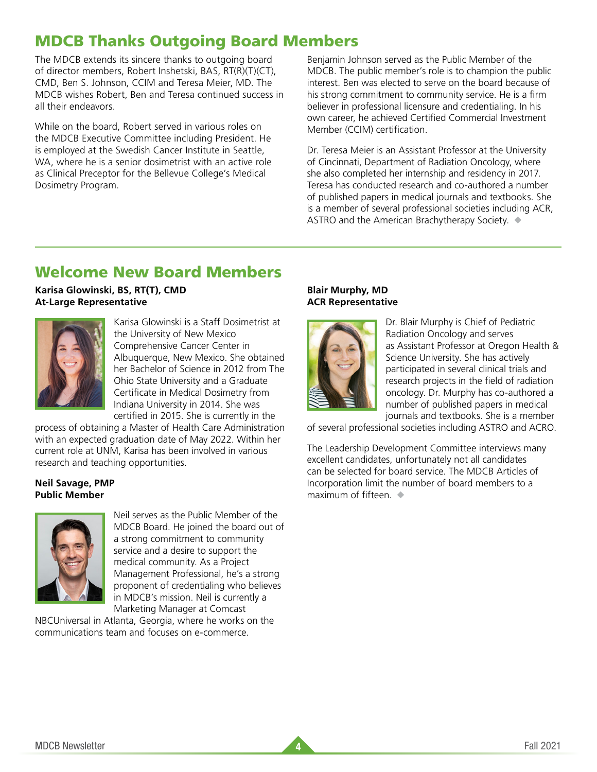## MDCB Thanks Outgoing Board Members

The MDCB extends its sincere thanks to outgoing board of director members, Robert Inshetski, BAS, RT(R)(T)(CT), CMD, Ben S. Johnson, CCIM and Teresa Meier, MD. The MDCB wishes Robert, Ben and Teresa continued success in all their endeavors.

While on the board, Robert served in various roles on the MDCB Executive Committee including President. He is employed at the Swedish Cancer Institute in Seattle, WA, where he is a senior dosimetrist with an active role as Clinical Preceptor for the Bellevue College's Medical Dosimetry Program.

Benjamin Johnson served as the Public Member of the MDCB. The public member's role is to champion the public interest. Ben was elected to serve on the board because of his strong commitment to community service. He is a firm believer in professional licensure and credentialing. In his own career, he achieved Certified Commercial Investment Member (CCIM) certification.

Dr. Teresa Meier is an Assistant Professor at the University of Cincinnati, Department of Radiation Oncology, where she also completed her internship and residency in 2017. Teresa has conducted research and co-authored a number of published papers in medical journals and textbooks. She is a member of several professional societies including ACR, ASTRO and the American Brachytherapy Society. ◆

## Welcome New Board Members

**Karisa Glowinski, BS, RT(T), CMD At-Large Representative**



Karisa Glowinski is a Staff Dosimetrist at the University of New Mexico Comprehensive Cancer Center in Albuquerque, New Mexico. She obtained her Bachelor of Science in 2012 from The Ohio State University and a Graduate Certificate in Medical Dosimetry from Indiana University in 2014. She was certified in 2015. She is currently in the

process of obtaining a Master of Health Care Administration with an expected graduation date of May 2022. Within her current role at UNM, Karisa has been involved in various research and teaching opportunities.

#### **Neil Savage, PMP Public Member**



Neil serves as the Public Member of the MDCB Board. He joined the board out of a strong commitment to community service and a desire to support the medical community. As a Project Management Professional, he's a strong proponent of credentialing who believes in MDCB's mission. Neil is currently a Marketing Manager at Comcast

NBCUniversal in Atlanta, Georgia, where he works on the communications team and focuses on e-commerce.

#### **Blair Murphy, MD ACR Representative**



Dr. Blair Murphy is Chief of Pediatric Radiation Oncology and serves as Assistant Professor at Oregon Health & Science University. She has actively participated in several clinical trials and research projects in the field of radiation oncology. Dr. Murphy has co-authored a number of published papers in medical journals and textbooks. She is a member

of several professional societies including ASTRO and ACRO.

The Leadership Development Committee interviews many excellent candidates, unfortunately not all candidates can be selected for board service. The MDCB Articles of Incorporation limit the number of board members to a maximum of fifteen.  $\bullet$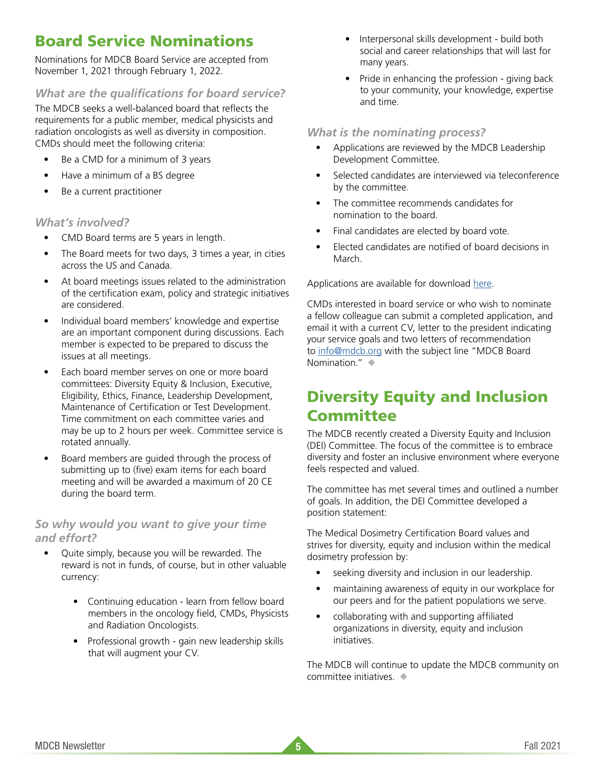## Board Service Nominations

Nominations for MDCB Board Service are accepted from November 1, 2021 through February 1, 2022.

### *What are the qualifications for board service?*

The MDCB seeks a well-balanced board that reflects the requirements for a public member, medical physicists and radiation oncologists as well as diversity in composition. CMDs should meet the following criteria:

- Be a CMD for a minimum of 3 years
- Have a minimum of a BS degree
- Be a current practitioner

#### *What's involved?*

- CMD Board terms are 5 years in length.
- The Board meets for two days, 3 times a year, in cities across the US and Canada.
- At board meetings issues related to the administration of the certification exam, policy and strategic initiatives are considered.
- Individual board members' knowledge and expertise are an important component during discussions. Each member is expected to be prepared to discuss the issues at all meetings.
- Each board member serves on one or more board committees: Diversity Equity & Inclusion, Executive, Eligibility, Ethics, Finance, Leadership Development, Maintenance of Certification or Test Development. Time commitment on each committee varies and may be up to 2 hours per week. Committee service is rotated annually.
- Board members are guided through the process of submitting up to (five) exam items for each board meeting and will be awarded a maximum of 20 CE during the board term.

#### *So why would you want to give your time and effort?*

- Quite simply, because you will be rewarded. The reward is not in funds, of course, but in other valuable currency:
	- Continuing education learn from fellow board members in the oncology field, CMDs, Physicists and Radiation Oncologists.
	- Professional growth gain new leadership skills that will augment your CV.
- Interpersonal skills development build both social and career relationships that will last for many years.
- Pride in enhancing the profession giving back to your community, your knowledge, expertise and time.

#### *What is the nominating process?*

- Applications are reviewed by the MDCB Leadership Development Committee.
- Selected candidates are interviewed via teleconference by the committee.
- The committee recommends candidates for nomination to the board.
- Final candidates are elected by board vote.
- Elected candidates are notified of board decisions in March.

[Application](https://mdcb.org/sites/default/files/documents/2016/Volunteer_BOD_Application_2016.pdf)s are available for download [here](https://mdcb.org/sites/mdcb/files/images/Volunteer%20BOD%20Application_2019.10_FINAL.pdf).

CMDs interested in board service or who wish to nominate a fellow colleague can submit a completed application, and email it with a current CV, letter to the president indicating your service goals and two letters of recommendation to [info@mdcb.org](mailto:info@mdcb.org) with the subject line "MDCB Board Nomination."

## Diversity Equity and Inclusion **Committee**

The MDCB recently created a Diversity Equity and Inclusion (DEI) Committee. The focus of the committee is to embrace diversity and foster an inclusive environment where everyone feels respected and valued.

The committee has met several times and outlined a number of goals. In addition, the DEI Committee developed a position statement:

The Medical Dosimetry Certification Board values and strives for diversity, equity and inclusion within the medical dosimetry profession by:

- seeking diversity and inclusion in our leadership.
- maintaining awareness of equity in our workplace for our peers and for the patient populations we serve.
- collaborating with and supporting affiliated organizations in diversity, equity and inclusion initiatives.

The MDCB will continue to update the MDCB community on committee initiatives. ◆